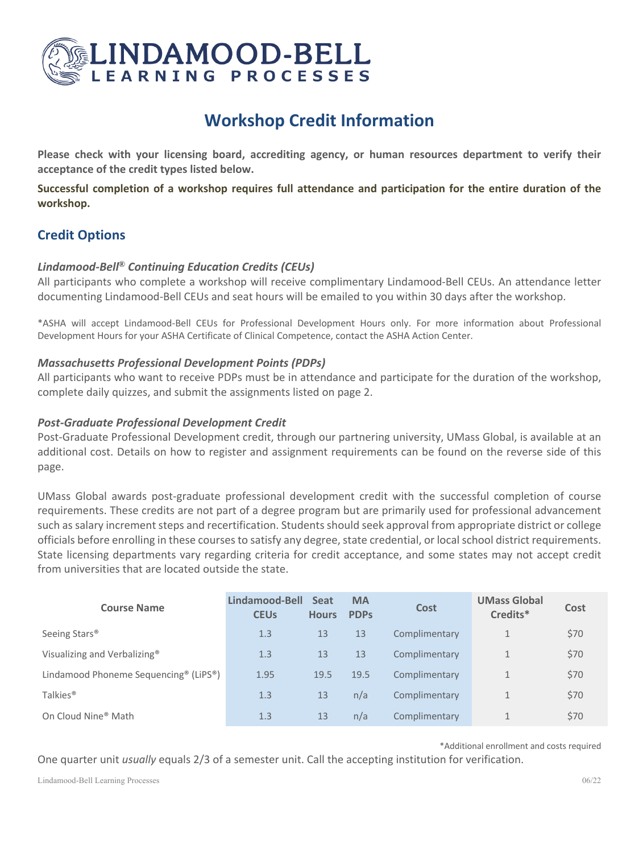

# **Workshop Credit Information**

**Please check with your licensing board, accrediting agency, or human resources department to verify their acceptance of the credit types listed below.**

**Successful completion of a workshop requires full attendance and participation for the entire duration of the workshop.**

# **Credit Options**

# *Lindamood-Bell*® *Continuing Education Credits (CEUs)*

All participants who complete a workshop will receive complimentary Lindamood-Bell CEUs. An attendance letter documenting Lindamood-Bell CEUs and seat hours will be emailed to you within 30 days after the workshop.

\*ASHA will accept Lindamood-Bell CEUs for Professional Development Hours only. For more information about Professional Development Hours for your ASHA Certificate of Clinical Competence, contact the ASHA Action Center.

### *Massachusetts Professional Development Points (PDPs)*

All participants who want to receive PDPs must be in attendance and participate for the duration of the workshop, complete daily quizzes, and submit the assignments listed on page 2.

## *Post-Graduate Professional Development Credit*

Post-Graduate Professional Development credit, through our partnering university, UMass Global, is available at an additional cost. Details on how to register and assignment requirements can be found on the reverse side of this page.

UMass Global awards post-graduate professional development credit with the successful completion of course requirements. These credits are not part of a degree program but are primarily used for professional advancement such as salary increment steps and recertification. Students should seek approval from appropriate district or college officials before enrolling in these courses to satisfy any degree, state credential, or local school district requirements. State licensing departments vary regarding criteria for credit acceptance, and some states may not accept credit from universities that are located outside the state.

| <b>Course Name</b>                                             | Lindamood-Bell<br><b>CEUs</b> | <b>Seat</b><br><b>Hours</b> | <b>MA</b><br><b>PDPs</b> | Cost          | <b>UMass Global</b><br>Credits* | Cost |
|----------------------------------------------------------------|-------------------------------|-----------------------------|--------------------------|---------------|---------------------------------|------|
| Seeing Stars <sup>®</sup>                                      | 1.3                           | 13                          | 13                       | Complimentary | $\mathbf{1}$                    | \$70 |
| Visualizing and Verbalizing®                                   | 1.3                           | 13                          | 13                       | Complimentary | 1                               | \$70 |
| Lindamood Phoneme Sequencing <sup>®</sup> (LiPS <sup>®</sup> ) | 1.95                          | 19.5                        | 19.5                     | Complimentary | 1                               | \$70 |
| Talkies <sup>®</sup>                                           | 1.3                           | 13                          | n/a                      | Complimentary |                                 | \$70 |
| On Cloud Nine <sup>®</sup> Math                                | 1.3                           | 13                          | n/a                      | Complimentary |                                 | \$70 |

\*Additional enrollment and costs required

One quarter unit *usually* equals 2/3 of a semester unit. Call the accepting institution for verification.